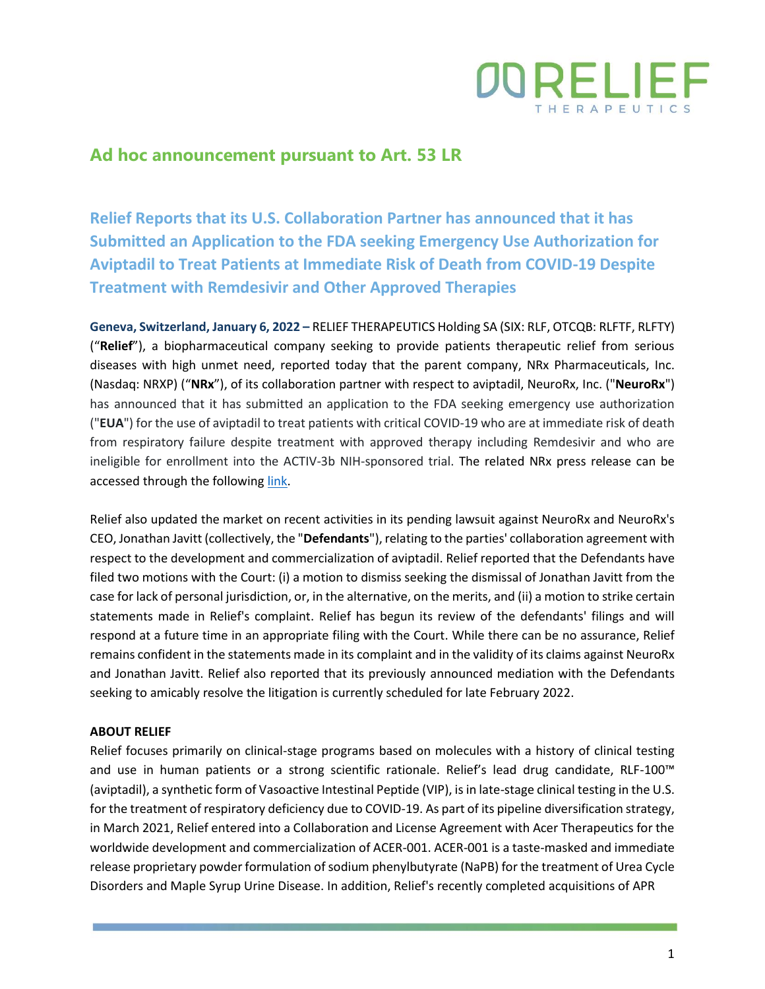

## **Ad hoc announcement pursuant to Art. 53 LR**

**Relief Reports that its U.S. Collaboration Partner has announced that it has Submitted an Application to the FDA seeking Emergency Use Authorization for Aviptadil to Treat Patients at Immediate Risk of Death from COVID-19 Despite Treatment with Remdesivir and Other Approved Therapies**

**Geneva, Switzerland, January 6, 2022 –** RELIEF THERAPEUTICS Holding SA (SIX: RLF, OTCQB: RLFTF, RLFTY) ("**Relief**"), a biopharmaceutical company seeking to provide patients therapeutic relief from serious diseases with high unmet need, reported today that the parent company, NRx Pharmaceuticals, Inc. (Nasdaq: NRXP) ("**NRx**"), of its collaboration partner with respect to aviptadil, NeuroRx, Inc. ("**NeuroRx**") has announced that it has submitted an application to the FDA seeking emergency use authorization ("**EUA**") for the use of aviptadil to treat patients with critical COVID-19 who are at immediate risk of death from respiratory failure despite treatment with approved therapy including Remdesivir and who are ineligible for enrollment into the ACTIV-3b NIH-sponsored trial. The related NRx press release can be accessed through the following [link.](https://www.prnewswire.com/news-releases/nrx-pharmaceuticals-submits-emergency-use-authorization-application-to-us-food-and-drug-administration-for-zyesami-aviptadil-to-treat-patients-at-immediate-risk-of-death-from-covid-19-despite-treatment-with-remdesivir-and-other-301454297.html)

Relief also updated the market on recent activities in its pending lawsuit against NeuroRx and NeuroRx's CEO, Jonathan Javitt (collectively, the "**Defendants**"),relating to the parties' collaboration agreement with respect to the development and commercialization of aviptadil. Relief reported that the Defendants have filed two motions with the Court: (i) a motion to dismiss seeking the dismissal of Jonathan Javitt from the case for lack of personal jurisdiction, or, in the alternative, on the merits, and (ii) a motion to strike certain statements made in Relief's complaint. Relief has begun its review of the defendants' filings and will respond at a future time in an appropriate filing with the Court. While there can be no assurance, Relief remains confident in the statements made in its complaint and in the validity of its claims against NeuroRx and Jonathan Javitt. Relief also reported that its previously announced mediation with the Defendants seeking to amicably resolve the litigation is currently scheduled for late February 2022.

## **ABOUT RELIEF**

Relief focuses primarily on clinical-stage programs based on molecules with a history of clinical testing and use in human patients or a strong scientific rationale. Relief's lead drug candidate, RLF-100™ (aviptadil), a synthetic form of Vasoactive Intestinal Peptide (VIP), is in late-stage clinical testing in the U.S. for the treatment of respiratory deficiency due to COVID-19. As part of its pipeline diversification strategy, in March 2021, Relief entered into a Collaboration and License Agreement with Acer Therapeutics for the worldwide development and commercialization of ACER-001. ACER-001 is a taste-masked and immediate release proprietary powder formulation of sodium phenylbutyrate (NaPB) for the treatment of Urea Cycle Disorders and Maple Syrup Urine Disease. In addition, Relief's recently completed acquisitions of APR